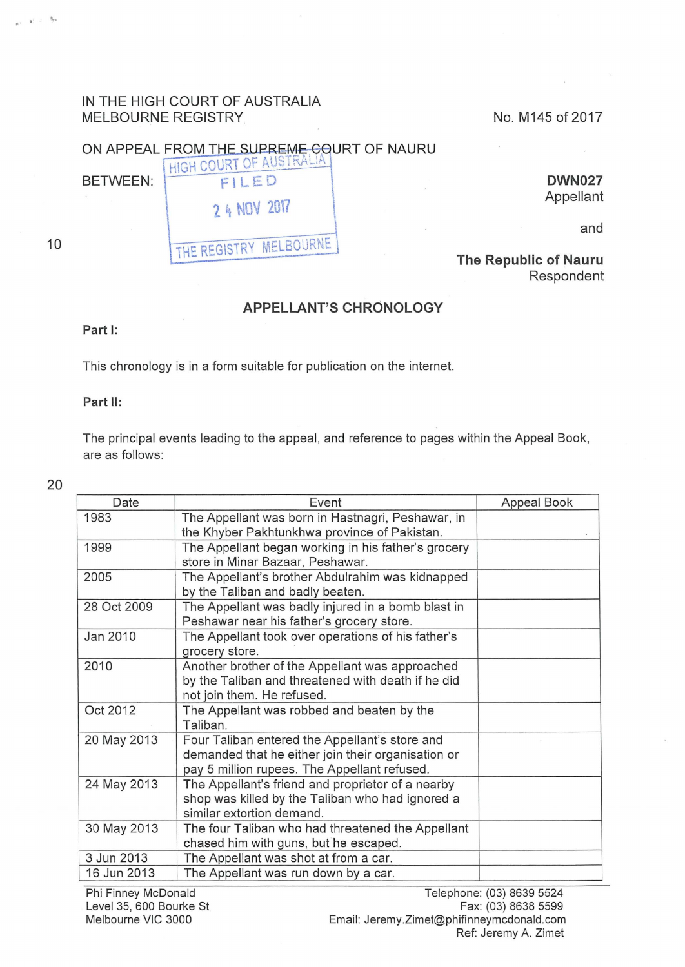## IN THE HIGH COURT OF AUSTRALIA MELBOURNE REGISTRY NO. M145 of 2017

## ON APPEAL FROM THE SUPREME COURT OF NAURU HIGH COURT OF AUSTRALIA

7.4 NOV 2017

THE REGISTRY MELBOURNE

BETWEEN: FILED

**DWN027**  Appellant

and

#### **The Republic of Nauru**  Respondent

## **APPELLANT'S CHRONOLOGY**

#### Part **1:**

This chronology is in a form suitable for publication on the internet

#### Part **11:**

The principal events leading to the appeal, and reference to pages within the Appeal Book, are as follows:

20

| Date        | Event                                                                                                                                                | Appeal Book |
|-------------|------------------------------------------------------------------------------------------------------------------------------------------------------|-------------|
| 1983        | The Appellant was born in Hastnagri, Peshawar, in<br>the Khyber Pakhtunkhwa province of Pakistan.                                                    |             |
| 1999        | The Appellant began working in his father's grocery<br>store in Minar Bazaar, Peshawar.                                                              |             |
| 2005        | The Appellant's brother Abdulrahim was kidnapped<br>by the Taliban and badly beaten.                                                                 |             |
| 28 Oct 2009 | The Appellant was badly injured in a bomb blast in<br>Peshawar near his father's grocery store.                                                      |             |
| Jan 2010    | The Appellant took over operations of his father's<br>grocery store.                                                                                 |             |
| 2010        | Another brother of the Appellant was approached<br>by the Taliban and threatened with death if he did<br>not join them. He refused.                  |             |
| Oct 2012    | The Appellant was robbed and beaten by the<br>Taliban.                                                                                               |             |
| 20 May 2013 | Four Taliban entered the Appellant's store and<br>demanded that he either join their organisation or<br>pay 5 million rupees. The Appellant refused. |             |
| 24 May 2013 | The Appellant's friend and proprietor of a nearby<br>shop was killed by the Taliban who had ignored a<br>similar extortion demand.                   |             |
| 30 May 2013 | The four Taliban who had threatened the Appellant<br>chased him with guns, but he escaped.                                                           |             |
| 3 Jun 2013  | The Appellant was shot at from a car.                                                                                                                |             |
| 16 Jun 2013 | The Appellant was run down by a car.                                                                                                                 |             |

# 10

 $\Delta$ .